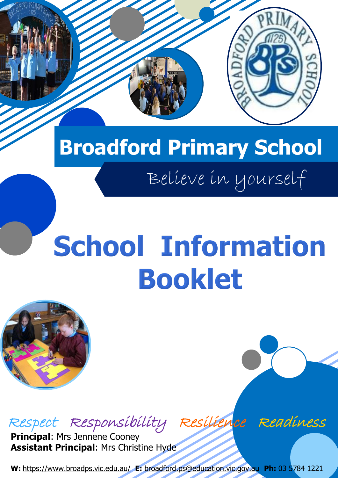Believe in yourself

# **School Information Booklet**



## Respect Responsibility Resilience Readiness

**Principal: Mrs Jennene Cooney Assistant Principal**: Mrs Christine Hyde

**W:** <https://www.broadps.vic.edu.au/> **E:** [broadford.ps@education.vic.gov.au](mailto:broadford.ps@education.vic.gov.au) **Ph:** 03 5784 1221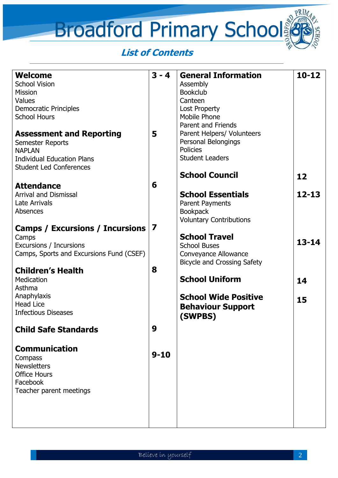

| <b>Welcome</b><br><b>School Vision</b><br><b>Mission</b><br>Values<br><b>Democratic Principles</b><br><b>School Hours</b><br><b>Assessment and Reporting</b><br>Semester Reports<br><b>NAPLAN</b><br><b>Individual Education Plans</b><br><b>Student Led Conferences</b> | $3 - 4$<br>5 | <b>General Information</b><br>Assembly<br><b>Bookclub</b><br>Canteen<br><b>Lost Property</b><br>Mobile Phone<br><b>Parent and Friends</b><br>Parent Helpers/ Volunteers<br>Personal Belongings<br><b>Policies</b><br><b>Student Leaders</b> | $10 - 12$ |
|--------------------------------------------------------------------------------------------------------------------------------------------------------------------------------------------------------------------------------------------------------------------------|--------------|---------------------------------------------------------------------------------------------------------------------------------------------------------------------------------------------------------------------------------------------|-----------|
|                                                                                                                                                                                                                                                                          |              | <b>School Council</b>                                                                                                                                                                                                                       | 12        |
| <b>Attendance</b><br><b>Arrival and Dismissal</b><br>Late Arrivals<br>Absences                                                                                                                                                                                           | 6            | <b>School Essentials</b><br>Parent Payments<br><b>Bookpack</b><br><b>Voluntary Contributions</b>                                                                                                                                            | $12 - 13$ |
| <b>Camps / Excursions / Incursions</b>                                                                                                                                                                                                                                   | 7            | <b>School Travel</b>                                                                                                                                                                                                                        |           |
| Camps<br>Excursions / Incursions<br>Camps, Sports and Excursions Fund (CSEF)                                                                                                                                                                                             |              | <b>School Buses</b><br>Conveyance Allowance<br><b>Bicycle and Crossing Safety</b>                                                                                                                                                           | $13 - 14$ |
| <b>Children's Health</b>                                                                                                                                                                                                                                                 | 8            |                                                                                                                                                                                                                                             |           |
| Medication<br>Asthma                                                                                                                                                                                                                                                     |              | <b>School Uniform</b>                                                                                                                                                                                                                       | 14        |
| Anaphylaxis<br><b>Head Lice</b><br><b>Infectious Diseases</b>                                                                                                                                                                                                            |              | <b>School Wide Positive</b><br><b>Behaviour Support</b><br>(SWPBS)                                                                                                                                                                          | 15        |
| <b>Child Safe Standards</b>                                                                                                                                                                                                                                              | 9            |                                                                                                                                                                                                                                             |           |
| <b>Communication</b><br>Compass<br><b>Newsletters</b><br><b>Office Hours</b><br>Facebook<br>Teacher parent meetings                                                                                                                                                      | $9 - 10$     |                                                                                                                                                                                                                                             |           |
|                                                                                                                                                                                                                                                                          |              |                                                                                                                                                                                                                                             |           |

PRIM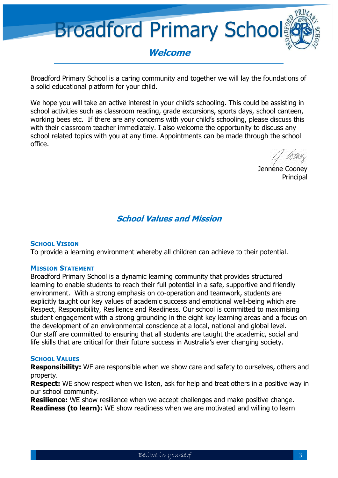## **Welcome**

Broadford Primary School is a caring community and together we will lay the foundations of a solid educational platform for your child.

We hope you will take an active interest in your child's schooling. This could be assisting in school activities such as classroom reading, grade excursions, sports days, school canteen, working bees etc. If there are any concerns with your child's schooling, please discuss this with their classroom teacher immediately. I also welcome the opportunity to discuss any school related topics with you at any time. Appointments can be made through the school office.

Jennene Coonev Principal

## **School Values and Mission**

#### **SCHOOL VISION**

To provide a learning environment whereby all children can achieve to their potential.

#### **MISSION STATEMENT**

Broadford Primary School is a dynamic learning community that provides structured learning to enable students to reach their full potential in a safe, supportive and friendly environment. With a strong emphasis on co-operation and teamwork, students are explicitly taught our key values of academic success and emotional well-being which are Respect, Responsibility, Resilience and Readiness. Our school is committed to maximising student engagement with a strong grounding in the eight key learning areas and a focus on the development of an environmental conscience at a local, national and global level. Our staff are committed to ensuring that all students are taught the academic, social and life skills that are critical for their future success in Australia's ever changing society.

#### **SCHOOL VALUES**

**Responsibility:** WE are responsible when we show care and safety to ourselves, others and property.

**Respect:** WE show respect when we listen, ask for help and treat others in a positive way in our school community.

**Resilience:** WE show resilience when we accept challenges and make positive change. **Readiness (to learn):** WE show readiness when we are motivated and willing to learn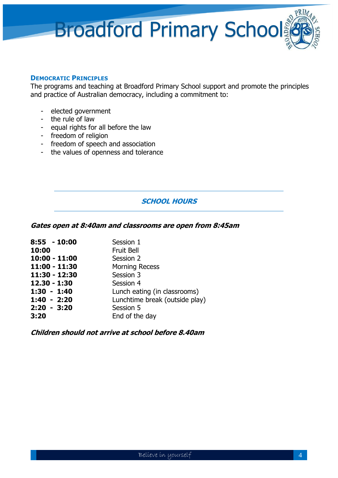#### **DEMOCRATIC PRINCIPLES**

The programs and teaching at Broadford Primary School support and promote the principles and practice of Australian democracy, including a commitment to:

- elected government
- the rule of law
- equal rights for all before the law
- freedom of religion
- freedom of speech and association
- the values of openness and tolerance

#### **SCHOOL HOURS**

#### **Gates open at 8:40am and classrooms are open from 8:45am**

| $8:55 - 10:00$ | Session 1                      |
|----------------|--------------------------------|
| 10:00          | <b>Fruit Bell</b>              |
| 10:00 - 11:00  | Session 2                      |
| 11:00 - 11:30  | <b>Morning Recess</b>          |
| 11:30 - 12:30  | Session 3                      |
| 12.30 - 1:30   | Session 4                      |
| $1:30 - 1:40$  | Lunch eating (in classrooms)   |
| $1:40 - 2:20$  | Lunchtime break (outside play) |
| 2:20 - 3:20    | Session 5                      |
| 3:20           | End of the day                 |

**Children should not arrive at school before 8.40am**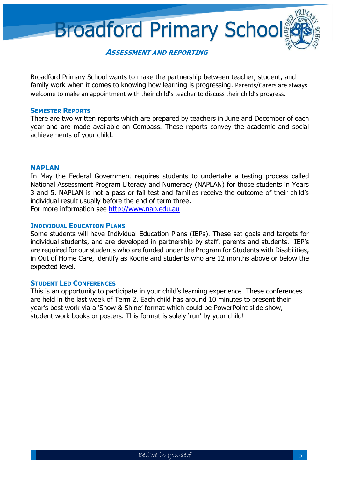**ASSESSMENT AND REPORTING**

Broadford Primary School wants to make the partnership between teacher, student, and family work when it comes to knowing how learning is progressing. Parents/Carers are always welcome to make an appointment with their child's teacher to discuss their child's progress.

#### **SEMESTER REPORTS**

There are two written reports which are prepared by teachers in June and December of each year and are made available on Compass. These reports convey the academic and social achievements of your child.

#### **NAPLAN**

In May the Federal Government requires students to undertake a testing process called National Assessment Program Literacy and Numeracy (NAPLAN) for those students in Years 3 and 5. NAPLAN is not a pass or fail test and families receive the outcome of their child's individual result usually before the end of term three. For more information see [http://www.nap.edu.au](http://www.nap.edu.au/)

#### **INDIVIDUAL EDUCATION PLANS**

Some students will have Individual Education Plans (IEPs). These set goals and targets for individual students, and are developed in partnership by staff, parents and students. IEP's are required for our students who are funded under the Program for Students with Disabilities, in Out of Home Care, identify as Koorie and students who are 12 months above or below the expected level.

#### **STUDENT LED CONFERENCES**

This is an opportunity to participate in your child's learning experience. These conferences are held in the last week of Term 2. Each child has around 10 minutes to present their year's best work via a 'Show & Shine' format which could be PowerPoint slide show, student work books or posters. This format is solely 'run' by your child!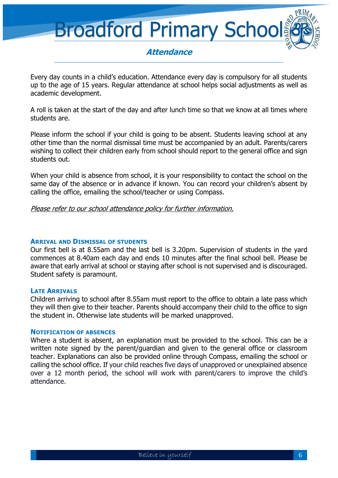### **Attendance**

Every day counts in a child's education. Attendance every day is compulsory for all students up to the age of 15 years. Regular attendance at school helps social adjustments as well as academic development.

A roll is taken at the start of the day and after lunch time so that we know at all times where students are.

Please inform the school if your child is going to be absent. Students leaving school at any other time than the normal dismissal time must be accompanied by an adult. Parents/carers wishing to collect their children early from school should report to the general office and sign students out.

When your child is absence from school, it is your responsibility to contact the school on the same day of the absence or in advance if known. You can record your children's absent by calling the office, emailing the school/teacher or using Compass.

Please refer to our school attendance policy for further information.

#### **ARRIVAL AND DISMISSAL OF STUDENTS**

Our first bell is at 8.55am and the last bell is 3.20pm. Supervision of students in the yard commences at 8.40am each day and ends 10 minutes after the final school bell. Please be aware that early arrival at school or staying after school is not supervised and is discouraged. Student safety is paramount.

#### **LATE ARRIVALS**

Children arriving to school after 8.55am must report to the office to obtain a late pass which they will then give to their teacher. Parents should accompany their child to the office to sign the student in. Otherwise late students will be marked unapproved.

#### **NOTIFICATION OF ABSENCES**

Where a student is absent, an explanation must be provided to the school. This can be a written note signed by the parent/guardian and given to the general office or classroom teacher. Explanations can also be provided online through Compass, emailing the school or calling the school office. If your child reaches five days of unapproved or unexplained absence over a 12 month period, the school will work with parent/carers to improve the child's attendance.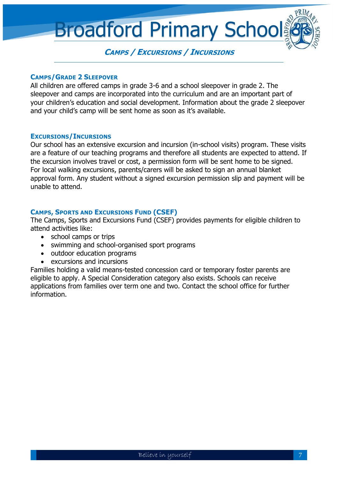**CAMPS / EXCURSIONS / INCURSIONS**

#### **CAMPS/GRADE 2 SLEEPOVER**

All children are offered camps in grade 3-6 and a school sleepover in grade 2. The sleepover and camps are incorporated into the curriculum and are an important part of your children's education and social development. Information about the grade 2 sleepover and your child's camp will be sent home as soon as it's available.

#### **EXCURSIONS/INCURSIONS**

Our school has an extensive excursion and incursion (in-school visits) program. These visits are a feature of our teaching programs and therefore all students are expected to attend. If the excursion involves travel or cost, a permission form will be sent home to be signed. For local walking excursions, parents/carers will be asked to sign an annual blanket approval form. Any student without a signed excursion permission slip and payment will be unable to attend.

#### **CAMPS, SPORTS AND EXCURSIONS FUND (CSEF)**

The Camps, Sports and Excursions Fund (CSEF) provides payments for eligible children to attend activities like:

- school camps or trips
- swimming and school-organised sport programs
- outdoor education programs
- excursions and incursions

Families holding a valid means-tested concession card or temporary foster parents are eligible to apply. A Special Consideration category also exists. Schools can receive applications from families over term one and two. Contact the school office for further information.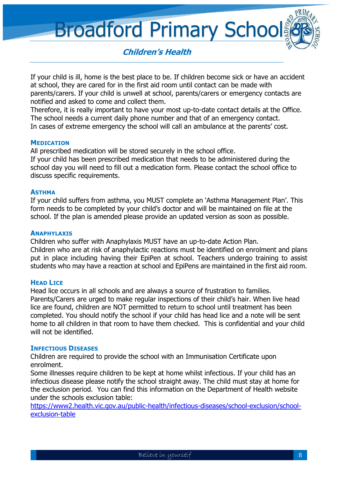**Children's Health**

If your child is ill, home is the best place to be. If children become sick or have an accident at school, they are cared for in the first aid room until contact can be made with parents/carers. If your child is unwell at school, parents/carers or emergency contacts are notified and asked to come and collect them.

Therefore, it is really important to have your most up-to-date contact details at the Office. The school needs a current daily phone number and that of an emergency contact. In cases of extreme emergency the school will call an ambulance at the parents' cost.

#### **MEDICATION**

All prescribed medication will be stored securely in the school office.

If your child has been prescribed medication that needs to be administered during the school day you will need to fill out a medication form. Please contact the school office to discuss specific requirements.

#### **ASTHMA**

If your child suffers from asthma, you MUST complete an 'Asthma Management Plan'. This form needs to be completed by your child's doctor and will be maintained on file at the school. If the plan is amended please provide an updated version as soon as possible.

#### **ANAPHYLAXIS**

Children who suffer with Anaphylaxis MUST have an up-to-date Action Plan. Children who are at risk of anaphylactic reactions must be identified on enrolment and plans put in place including having their EpiPen at school. Teachers undergo training to assist students who may have a reaction at school and EpiPens are maintained in the first aid room.

#### **HEAD LICE**

Head lice occurs in all schools and are always a source of frustration to families. Parents/Carers are urged to make regular inspections of their child's hair. When live head lice are found, children are NOT permitted to return to school until treatment has been completed. You should notify the school if your child has head lice and a note will be sent home to all children in that room to have them checked. This is confidential and your child will not be identified.

#### **INFECTIOUS DISEASES**

Children are required to provide the school with an Immunisation Certificate upon enrolment.

Some illnesses require children to be kept at home whilst infectious. If your child has an infectious disease please notify the school straight away. The child must stay at home for the exclusion period. You can find this information on the Department of Health website under the schools exclusion table:

[https://www2.health.vic.gov.au/public-health/infectious-diseases/school-exclusion/school](https://www2.health.vic.gov.au/public-health/infectious-diseases/school-exclusion/school-exclusion-table)[exclusion-table](https://www2.health.vic.gov.au/public-health/infectious-diseases/school-exclusion/school-exclusion-table)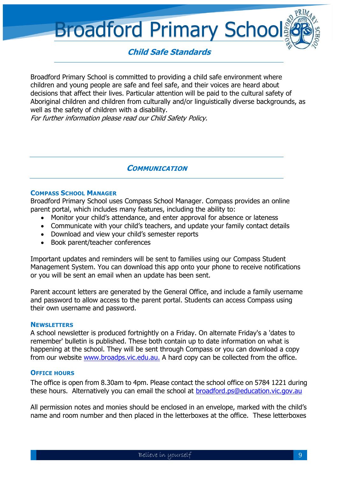

**Child Safe Standards** 

Broadford Primary School is committed to providing a child safe environment where children and young people are safe and feel safe, and their voices are heard about decisions that affect their lives. Particular attention will be paid to the cultural safety of Aboriginal children and children from culturally and/or linguistically diverse backgrounds, as well as the safety of children with a disability.

For further information please read our Child Safety Policy.

**COMMUNICATION**

#### **COMPASS SCHOOL MANAGER**

Broadford Primary School uses Compass School Manager. Compass provides an online parent portal, which includes many features, including the ability to:

- Monitor your child's attendance, and enter approval for absence or lateness
- Communicate with your child's teachers, and update your family contact details
- Download and view your child's semester reports
- Book parent/teacher conferences

Important updates and reminders will be sent to families using our Compass Student Management System. You can download this app onto your phone to receive notifications or you will be sent an email when an update has been sent.

Parent account letters are generated by the General Office, and include a family username and password to allow access to the parent portal. Students can access Compass using their own username and password.

#### **NEWSLETTERS**

A school newsletter is produced fortnightly on a Friday. On alternate Friday's a 'dates to remember' bulletin is published. These both contain up to date information on what is happening at the school. They will be sent through Compass or you can download a copy from our website [www.broadps.vic.edu.au.](http://www.broadps.vic.edu.au/) A hard copy can be collected from the office.

#### **OFFICE HOURS**

The office is open from 8.30am to 4pm. Please contact the school office on 5784 1221 during these hours. Alternatively you can email the school at [broadford.ps@education.vic.gov.au](mailto:broadford.ps@education.vic.gov.au)

All permission notes and monies should be enclosed in an envelope, marked with the child's name and room number and then placed in the letterboxes at the office. These letterboxes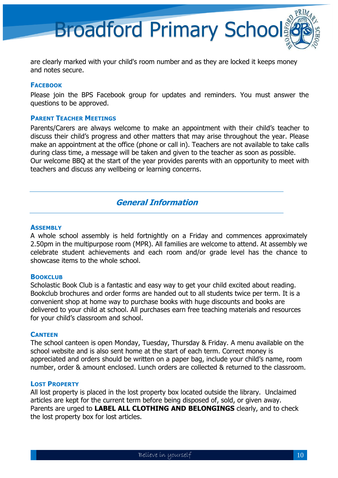are clearly marked with your child's room number and as they are locked it keeps money and notes secure.

#### **FACEBOOK**

Please join the BPS Facebook group for updates and reminders. You must answer the questions to be approved.

#### **PARENT TEACHER MEETINGS**

Parents/Carers are always welcome to make an appointment with their child's teacher to discuss their child's progress and other matters that may arise throughout the year. Please make an appointment at the office (phone or call in). Teachers are not available to take calls during class time, a message will be taken and given to the teacher as soon as possible. Our welcome BBQ at the start of the year provides parents with an opportunity to meet with teachers and discuss any wellbeing or learning concerns.

#### **General Information**

#### **ASSEMBLY**

A whole school assembly is held fortnightly on a Friday and commences approximately 2.50pm in the multipurpose room (MPR). All families are welcome to attend. At assembly we celebrate student achievements and each room and/or grade level has the chance to showcase items to the whole school.

#### **BOOKCLUB**

Scholastic Book Club is a fantastic and easy way to get your child excited about reading. Bookclub brochures and order forms are handed out to all students twice per term. It is a convenient shop at home way to purchase books with huge discounts and books are delivered to your child at school. All purchases earn free teaching materials and resources for your child's classroom and school.

#### **CANTEEN**

The school canteen is open Monday, Tuesday, Thursday & Friday. A menu available on the school website and is also sent home at the start of each term. Correct money is appreciated and orders should be written on a paper bag, include your child's name, room number, order & amount enclosed. Lunch orders are collected & returned to the classroom.

#### **LOST PROPERTY**

All lost property is placed in the lost property box located outside the library. Unclaimed articles are kept for the current term before being disposed of, sold, or given away. Parents are urged to **LABEL ALL CLOTHING AND BELONGINGS** clearly, and to check the lost property box for lost articles.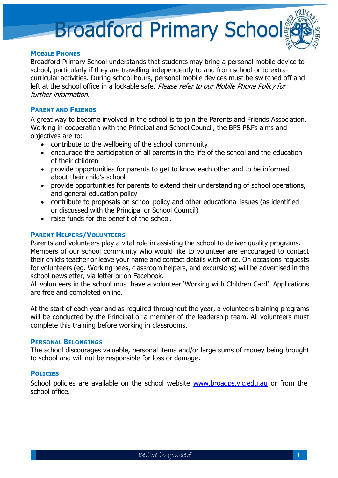#### **MOBILE PHONES**

Broadford Primary School understands that students may bring a personal mobile device to school, particularly if they are travelling independently to and from school or to extracurricular activities. During school hours, personal mobile devices must be switched off and left at the school office in a lockable safe. Please refer to our Mobile Phone Policy for further information.

#### **PARENT AND FRIENDS**

A great way to become involved in the school is to join the Parents and Friends Association. Working in cooperation with the Principal and School Council, the BPS P&Fs aims and objectives are to:

- contribute to the wellbeing of the school community
- encourage the participation of all parents in the life of the school and the education of their children
- provide opportunities for parents to get to know each other and to be informed about their child's school
- provide opportunities for parents to extend their understanding of school operations, and general education policy
- contribute to proposals on school policy and other educational issues (as identified or discussed with the Principal or School Council)
- raise funds for the benefit of the school.

#### **PARENT HELPERS/VOLUNTEERS**

Parents and volunteers play a vital role in assisting the school to deliver quality programs. Members of our school community who would like to volunteer are encouraged to contact their child's teacher or leave your name and contact details with office. On occasions requests for volunteers (eg. Working bees, classroom helpers, and excursions) will be advertised in the school newsletter, via letter or on Facebook.

All volunteers in the school must have a volunteer 'Working with Children Card'. Applications are free and completed online.

At the start of each year and as required throughout the year, a volunteers training programs will be conducted by the Principal or a member of the leadership team. All volunteers must complete this training before working in classrooms.

#### **PERSONAL BELONGINGS**

The school discourages valuable, personal items and/or large sums of money being brought to school and will not be responsible for loss or damage.

#### **POLICIES**

School policies are available on the school website [www.broadps.vic.edu.au](http://www.broadps.vic.edu.au/) or from the school office.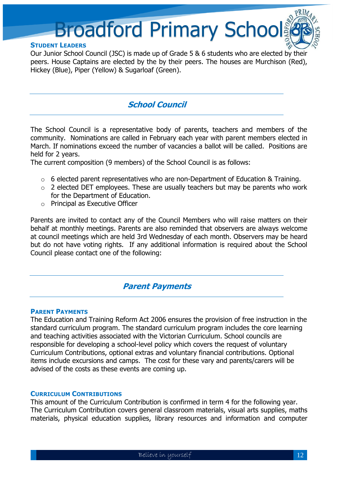#### **STUDENT LEADERS**

Our Junior School Council (JSC) is made up of Grade 5 & 6 students who are elected by their peers. House Captains are elected by the by their peers. The houses are Murchison (Red), Hickey (Blue), Piper (Yellow) & Sugarloaf (Green).

## **School Council**

The School Council is a representative body of parents, teachers and members of the community. Nominations are called in February each year with parent members elected in March. If nominations exceed the number of vacancies a ballot will be called. Positions are held for 2 years.

The current composition (9 members) of the School Council is as follows:

- $\circ$  6 elected parent representatives who are non-Department of Education & Training.
- o 2 elected DET employees. These are usually teachers but may be parents who work for the Department of Education.
- o Principal as Executive Officer

Parents are invited to contact any of the Council Members who will raise matters on their behalf at monthly meetings. Parents are also reminded that observers are always welcome at council meetings which are held 3rd Wednesday of each month. Observers may be heard but do not have voting rights. If any additional information is required about the School Council please contact one of the following:

### **Parent Payments**

#### **PARENT PAYMENTS**

The Education and Training Reform Act 2006 ensures the provision of free instruction in the standard curriculum program. The standard curriculum program includes the core learning and teaching activities associated with the Victorian Curriculum. School councils are responsible for developing a school-level policy which covers the request of voluntary Curriculum Contributions, optional extras and voluntary financial contributions. Optional items include excursions and camps. The cost for these vary and parents/carers will be advised of the costs as these events are coming up.

#### **CURRICULUM CONTRIBUTIONS**

This amount of the Curriculum Contribution is confirmed in term 4 for the following year. The Curriculum Contribution covers general classroom materials, visual arts supplies, maths materials, physical education supplies, library resources and information and computer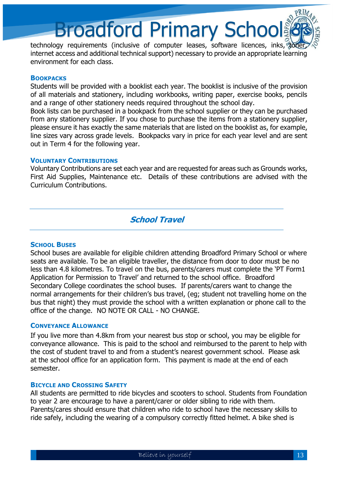technology requirements (inclusive of computer leases, software licences, inks, toner internet access and additional technical support) necessary to provide an appropriate learning environment for each class.

#### **BOOKPACKS**

Students will be provided with a booklist each year. The booklist is inclusive of the provision of all materials and stationery, including workbooks, writing paper, exercise books, pencils and a range of other stationery needs required throughout the school day.

Book lists can be purchased in a bookpack from the school supplier or they can be purchased from any stationery supplier. If you chose to purchase the items from a stationery supplier, please ensure it has exactly the same materials that are listed on the booklist as, for example, line sizes vary across grade levels. Bookpacks vary in price for each year level and are sent out in Term 4 for the following year.

#### **VOLUNTARY CONTRIBUTIONS**

Voluntary Contributions are set each year and are requested for areas such as Grounds works, First Aid Supplies, Maintenance etc. Details of these contributions are advised with the Curriculum Contributions.

### **School Travel**

#### **SCHOOL BUSES**

School buses are available for eligible children attending Broadford Primary School or where seats are available. To be an eligible traveller, the distance from door to door must be no less than 4.8 kilometres. To travel on the bus, parents/carers must complete the 'PT Form1 Application for Permission to Travel' and returned to the school office. Broadford Secondary College coordinates the school buses. If parents/carers want to change the normal arrangements for their children's bus travel, (eg; student not travelling home on the bus that night) they must provide the school with a written explanation or phone call to the office of the change. NO NOTE OR CALL - NO CHANGE.

#### **CONVEYANCE ALLOWANCE**

If you live more than 4.8km from your nearest bus stop or school, you may be eligible for conveyance allowance. This is paid to the school and reimbursed to the parent to help with the cost of student travel to and from a student's nearest government school. Please ask at the school office for an application form. This payment is made at the end of each semester.

#### **BICYCLE AND CROSSING SAFETY**

All students are permitted to ride bicycles and scooters to school. Students from Foundation to year 2 are encourage to have a parent/carer or older sibling to ride with them. Parents/cares should ensure that children who ride to school have the necessary skills to ride safely, including the wearing of a compulsory correctly fitted helmet. A bike shed is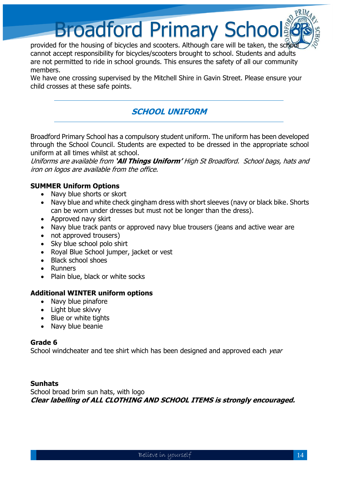provided for the housing of bicycles and scooters. Although care will be taken, the schod cannot accept responsibility for bicycles/scooters brought to school. Students and adults are not permitted to ride in school grounds. This ensures the safety of all our community members.

We have one crossing supervised by the Mitchell Shire in Gavin Street. Please ensure your child crosses at these safe points.

## **SCHOOL UNIFORM**

Broadford Primary School has a compulsory student uniform. The uniform has been developed through the School Council. Students are expected to be dressed in the appropriate school uniform at all times whilst at school.

Uniforms are available from **'All Things Uniform'** High St Broadford. School bags, hats and iron on logos are available from the office.

#### **SUMMER Uniform Options**

- Navy blue shorts or skort
- Navy blue and white check gingham dress with short sleeves (navy or black bike. Shorts can be worn under dresses but must not be longer than the dress).
- Approved navy skirt
- Navy blue track pants or approved navy blue trousers (jeans and active wear are
- not approved trousers)
- Sky blue school polo shirt
- Royal Blue School jumper, jacket or vest
- Black school shoes
- Runners
- Plain blue, black or white socks

#### **Additional WINTER uniform options**

- Navy blue pinafore
- Light blue skivvy
- Blue or white tights
- Navy blue beanie

#### **Grade 6**

School windcheater and tee shirt which has been designed and approved each year

#### **Sunhats**

School broad brim sun hats, with logo **Clear labelling of ALL CLOTHING AND SCHOOL ITEMS is strongly encouraged.**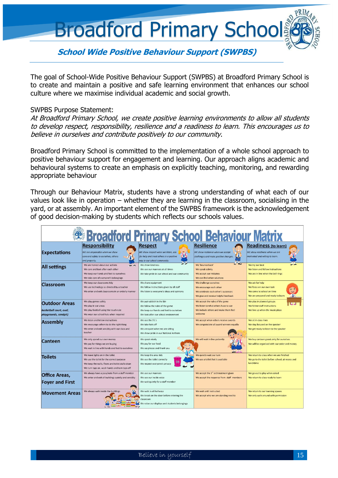**School Wide Positive Behaviour Support (SWPBS)**

The goal of School-Wide Positive Behaviour Support (SWPBS) at Broadford Primary School is to create and maintain a positive and safe learning environment that enhances our school culture where we maximise individual academic and social growth.

#### SWPBS Purpose Statement:

At Broadford Primary School, we create positive learning environments to allow all students to develop respect, responsibility, resilience and a readiness to learn. This encourages us to believe in ourselves and contribute positively to our community.

Broadford Primary School is committed to the implementation of a whole school approach to positive behaviour support for engagement and learning. Our approach aligns academic and behavioural systems to create an emphasis on explicitly teaching, monitoring, and rewarding appropriate behaviour

Through our Behaviour Matrix, students have a strong understanding of what each of our values look like in operation – whether they are learning in the classroom, socialising in the yard, or at assembly. An important element of the SWPBS framework is the acknowledgement of good decision-making by students which reflects our schools values.

| <b>Broadford Primary School Behaviour Matrix</b>                         |                                                                                                                                                                                     |                                                                                                                                                 |                                                                                                                                      |                                                                                                                         |  |  |
|--------------------------------------------------------------------------|-------------------------------------------------------------------------------------------------------------------------------------------------------------------------------------|-------------------------------------------------------------------------------------------------------------------------------------------------|--------------------------------------------------------------------------------------------------------------------------------------|-------------------------------------------------------------------------------------------------------------------------|--|--|
| <b>Expectations</b>                                                      | <b>Responsibility</b><br>WE are responsible when we show<br>care and safety to ourselves, others<br>and property.                                                                   | <b>Respect</b><br>WE show respect when we listen, ask<br>for help and treat others in a positive<br>way in our school community.                | <b>Resilience</b><br>WE show resilience when we accept<br>challenges and make positive changes.                                      | <b>Readiness (to learn)</b><br>WE show readiness when we are<br>motivated and willing to learn.                         |  |  |
| <b>All settings</b>                                                      | We are honest about our actions<br>$45 - 40$<br>We care and look after each other<br>We keep our hands and feet to ourselves<br>We take care of everyone's belongings               | $\rightarrow$<br>We show kindness<br>We use our manners at all times<br>We take pride in our school and our community                           | $\overline{u}$ in the $\overline{u}$<br>We 'bounce back'<br>We speak calmly<br>We accept our mistakes<br>We can find other solutions | We try our best<br>We listen and follow instructions<br>We are in line when the bell rings                              |  |  |
| Classroom                                                                | We keep our classrooms tidy<br>We use technology as directed by a teacher<br>We enter and exit classrooms in an orderly manner                                                      | We share equipment<br>We follow instructions given by all staff<br>We listen to everyone's ideas and opinions                                   | We challenge ourselves<br>We encourage each other<br>We celebrate each other's successes<br>We give and receive helpful feedback     | We ask for help<br>We focus on our own task<br>We come to school on time<br>We are prepared and ready to learn          |  |  |
| <b>Outdoor Areas</b><br>basketball court, oval,<br>playgrounds, sandpit) | We play games safely<br>We play in our areas<br>We play football using the touch rule<br>We wear our school hats when required                                                      | We put rubbish in the bin<br>We follow the rules of the game<br>We keep our hands and feet to ourselves<br>We look after our school environment | We accept the rules of the game<br>We listen to what others have to say<br>We include others and make them feel<br>welcome           | We play in planned groups<br>$\overline{\mathbf{L}}$<br>We follow staff instructions<br>We line up when the music plays |  |  |
| <b>Assembly</b>                                                          | We listen and follow instructions<br>We encourage others to do the right thing<br>We enter and exit sensibly with our class and<br>teacher                                          | We use the 5'L's<br>We take hats off<br>We are quiet when we are sitting<br>We show pride in our National Anthem                                | We accept when others receive awards<br>We congratulate all award winners equally                                                    | We sit in class lines<br>We stay focused on the speaker<br>We get ready to listen to the speaker                        |  |  |
| <b>Canteen</b>                                                           | We only spend our own money<br>We pay for things we are buying<br>We wait in line with hands and feet to ourselves                                                                  | We speak nicely<br>We pay for our food<br>We say please and thank you                                                                           | We will wait in line patiently                                                                                                       | We buy canteen goods only for ourselves<br>We will be organised with our order and money                                |  |  |
| <b>Toilets</b>                                                           | We leave lights on in the toilet<br>We use the toilet for the correct purpose<br>We keep the walls, floors and toilet stalls clean<br>We turn taps on, wash hands and turn taps off | We keep the area tidy<br>We use the toilet correctly<br>We respect everyone's privacy                                                           | We quietly wait our turn<br>We use a toilet that is available                                                                        | We return to class when we are finished<br>We go to the toilet before school, at recess and<br>lunchtime                |  |  |
| <b>Office Areas.</b><br><b>Foyer and First</b>                           | We always have a pass/note from a staff member<br>We enter and exit all buildings quietly and sensibly                                                                              | We use our manners<br>We use our inside voice<br>We wait quietly for a staff member                                                             | We accept the 1 <sup>st</sup> aid treatment given<br>We accept the response from staff members                                       | We go out to play when asked<br>We return to class ready to learn                                                       |  |  |
| <b>Movement Areas</b>                                                    | We always walk inside the buildings                                                                                                                                                 | We walk in all hallways<br>We knock on the door before entering the<br>classroom<br>We value our displays and students belongings               | We wait until instructed<br>We accept who we are standing next to                                                                    | We return to our learning spaces<br>We only walk around with permission                                                 |  |  |